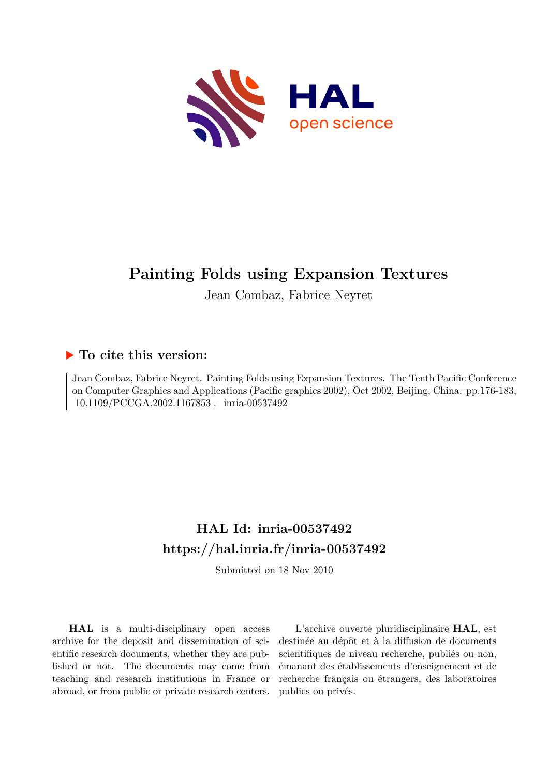

# **Painting Folds using Expansion Textures**

Jean Combaz, Fabrice Neyret

## **To cite this version:**

Jean Combaz, Fabrice Neyret. Painting Folds using Expansion Textures. The Tenth Pacific Conference on Computer Graphics and Applications (Pacific graphics 2002), Oct 2002, Beijing, China. pp.176-183,  $10.1109/PCCGA.2002.1167853$ . inria-00537492

# **HAL Id: inria-00537492 <https://hal.inria.fr/inria-00537492>**

Submitted on 18 Nov 2010

**HAL** is a multi-disciplinary open access archive for the deposit and dissemination of scientific research documents, whether they are published or not. The documents may come from teaching and research institutions in France or abroad, or from public or private research centers.

L'archive ouverte pluridisciplinaire **HAL**, est destinée au dépôt et à la diffusion de documents scientifiques de niveau recherche, publiés ou non, émanant des établissements d'enseignement et de recherche français ou étrangers, des laboratoires publics ou privés.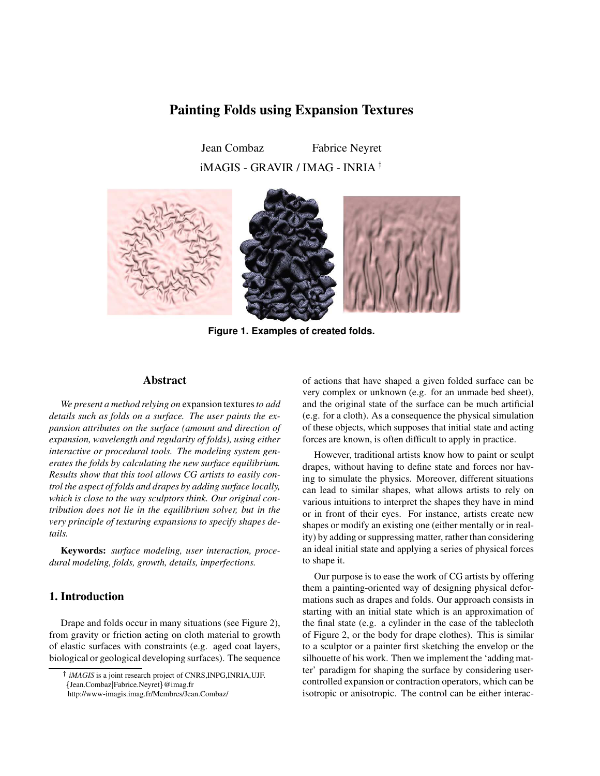### **Painting Folds using Expansion Textures**

Jean Combaz Fabrice Neyret iMAGIS - GRAVIR / IMAG - INRIA



**Figure 1. Examples of created folds.**

#### **Abstract**

*We present a method relying on* expansion textures*to add details such as folds on a surface. The user paints the expansion attributes on the surface (amount and direction of expansion, wavelength and regularity of folds), using either interactive or procedural tools. The modeling system generates the folds by calculating the new surface equilibrium. Results show that this tool allows CG artists to easily control the aspect of folds and drapes by adding surface locally, which is close to the way sculptors think. Our original contribution does not lie in the equilibrium solver, but in the very principle of texturing expansions to specify shapes details.*

**Keywords:** *surface modeling, user interaction, procedural modeling, folds, growth, details, imperfections.*

#### **1. Introduction**

Drape and folds occur in many situations (see Figure 2), from gravity or friction acting on cloth material to growth of elastic surfaces with constraints (e.g. aged coat layers, biological or geological developing surfaces). The sequence

of actions that have shaped a given folded surface can be very complex or unknown (e.g. for an unmade bed sheet), and the original state of the surface can be much artificial (e.g. for a cloth). As a consequence the physical simulation of these objects, which supposes that initial state and acting forces are known, is often difficult to apply in practice.

However, traditional artists know how to paint or sculpt drapes, without having to define state and forces nor having to simulate the physics. Moreover, different situations can lead to similar shapes, what allows artists to rely on various intuitions to interpret the shapes they have in mind or in front of their eyes. For instance, artists create new shapes or modify an existing one (either mentally or in reality) by adding or suppressing matter, rather than considering an ideal initial state and applying a series of physical forces to shape it.

Our purpose is to ease the work of CG artists by offering them a painting-oriented way of designing physical deformations such as drapes and folds. Our approach consists in starting with an initial state which is an approximation of the final state (e.g. a cylinder in the case of the tablecloth of Figure 2, or the body for drape clothes). This is similar to a sculptor or a painter first sketching the envelop or the silhouette of his work. Then we implement the 'adding matter' paradigm for shaping the surface by considering usercontrolled expansion or contraction operators, which can be isotropic or anisotropic. The control can be either interac-

*iMAGIS* is a joint research project of CNRS,INPG,INRIA,UJF.

<sup>-</sup> Jean.Combaz Fabrice.Neyret @imag.fr

http://www-imagis.imag.fr/Membres/Jean.Combaz/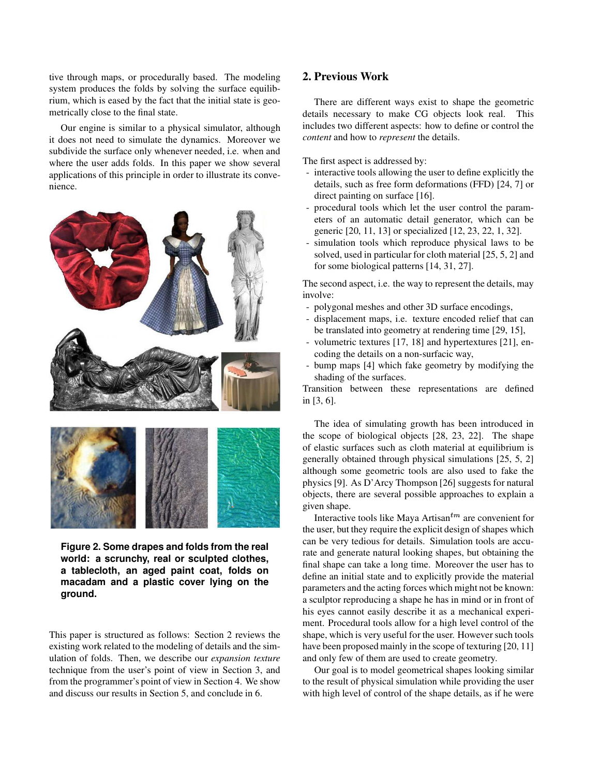tive through maps, or procedurally based. The modeling system produces the folds by solving the surface equilibrium, which is eased by the fact that the initial state is geometrically close to the final state.

Our engine is similar to a physical simulator, although it does not need to simulate the dynamics. Moreover we subdivide the surface only whenever needed, i.e. when and where the user adds folds. In this paper we show several applications of this principle in order to illustrate its convenience.





**Figure 2. Some drapes and folds from the real world: a scrunchy, real or sculpted clothes, a tablecloth, an aged paint coat, folds on macadam and a plastic cover lying on the ground.**

This paper is structured as follows: Section 2 reviews the existing work related to the modeling of details and the simulation of folds. Then, we describe our *expansion texture* technique from the user's point of view in Section 3, and from the programmer's point of view in Section 4. We show and discuss our results in Section 5, and conclude in 6.

### **2. Previous Work**

There are different ways exist to shape the geometric details necessary to make CG objects look real. This includes two different aspects: how to define or control the *content* and how to *represent* the details.

The first aspect is addressed by:

- interactive tools allowing the user to define explicitly the details, such as free form deformations (FFD) [24, 7] or direct painting on surface [16].
- procedural tools which let the user control the parameters of an automatic detail generator, which can be generic [20, 11, 13] or specialized [12, 23, 22, 1, 32].
- simulation tools which reproduce physical laws to be solved, used in particular for cloth material [25, 5, 2] and for some biological patterns [14, 31, 27].

The second aspect, i.e. the way to represent the details, may involve:

- polygonal meshes and other 3D surface encodings,
- displacement maps, i.e. texture encoded relief that can be translated into geometry at rendering time [29, 15],
- volumetric textures [17, 18] and hypertextures [21], encoding the details on a non-surfacic way,
- bump maps [4] which fake geometry by modifying the shading of the surfaces.

Transition between these representations are defined in [3, 6].

The idea of simulating growth has been introduced in the scope of biological objects [28, 23, 22]. The shape of elastic surfaces such as cloth material at equilibrium is generally obtained through physical simulations [25, 5, 2] although some geometric tools are also used to fake the physics [9]. As D'Arcy Thompson [26] suggests for natural objects, there are several possible approaches to explain a given shape.

Interactive tools like Maya Artisan $^{tm}$  are convenient for the user, but they require the explicit design of shapes which can be very tedious for details. Simulation tools are accurate and generate natural looking shapes, but obtaining the final shape can take a long time. Moreover the user has to define an initial state and to explicitly provide the material parameters and the acting forces which might not be known: a sculptor reproducing a shape he has in mind or in front of his eyes cannot easily describe it as a mechanical experiment. Procedural tools allow for a high level control of the shape, which is very useful for the user. However such tools have been proposed mainly in the scope of texturing [20, 11] and only few of them are used to create geometry.

Our goal is to model geometrical shapes looking similar to the result of physical simulation while providing the user with high level of control of the shape details, as if he were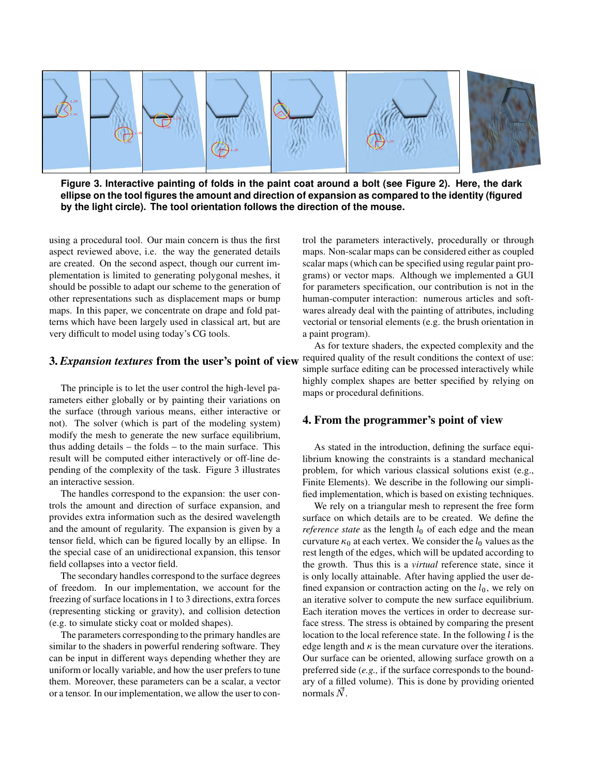

Figure 3. Interactive painting of folds in the paint coat around a bolt (see Figure 2). Here, the dark **ellipse on the tool figures the amount and direction of expansion as compared to the identity (figured by the light circle). The tool orientation follows the direction of the mouse.**

using a procedural tool. Our main concern is thus the first aspect reviewed above, i.e. the way the generated details are created. On the second aspect, though our current implementation is limited to generating polygonal meshes, it should be possible to adapt our scheme to the generation of other representations such as displacement maps or bump maps. In this paper, we concentrate on drape and fold patterns which have been largely used in classical art, but are very difficult to model using today's CG tools.

#### **3.** *Expansion textures* **from the user's point of view**

The principle is to let the user control the high-level parameters either globally or by painting their variations on the surface (through various means, either interactive or not). The solver (which is part of the modeling system) modify the mesh to generate the new surface equilibrium, thus adding details – the folds – to the main surface. This result will be computed either interactively or off-line depending of the complexity of the task. Figure 3 illustrates an interactive session.

The handles correspond to the expansion: the user controls the amount and direction of surface expansion, and provides extra information such as the desired wavelength and the amount of regularity. The expansion is given by a tensor field, which can be figured locally by an ellipse. In the special case of an unidirectional expansion, this tensor field collapses into a vector field.

The secondary handles correspond to the surface degrees of freedom. In our implementation, we account for the freezing of surface locations in 1 to 3 directions, extra forces (representing sticking or gravity), and collision detection (e.g. to simulate sticky coat or molded shapes).

The parameters corresponding to the primary handles are similar to the shaders in powerful rendering software. They can be input in different ways depending whether they are uniform or locally variable, and how the user prefers to tune them. Moreover, these parameters can be a scalar, a vector or a tensor. In our implementation, we allow the user to control the parameters interactively, procedurally or through maps. Non-scalar maps can be considered either as coupled scalar maps (which can be specified using regular paint programs) or vector maps. Although we implemented a GUI for parameters specification, our contribution is not in the human-computer interaction: numerous articles and softwares already deal with the painting of attributes, including vectorial or tensorial elements (e.g. the brush orientation in a paint program).

As for texture shaders, the expected complexity and the required quality of the result conditions the context of use: simple surface editing can be processed interactively while highly complex shapes are better specified by relying on maps or procedural definitions.

#### **4. From the programmer's point of view**

As stated in the introduction, defining the surface equilibrium knowing the constraints is a standard mechanical problem, for which various classical solutions exist (e.g., Finite Elements). We describe in the following our simplified implementation, which is based on existing techniques.

We rely on a triangular mesh to represent the free form surface on which details are to be created. We define the *reference state* as the length  $l_0$  of each edge and the mean curvature  $\kappa_0$  at each vertex. We consider the  $l_0$  values as the rest length of the edges, which will be updated according to the growth. Thus this is a *virtual* reference state, since it is only locally attainable. After having applied the user defined expansion or contraction acting on the  $l_0$ , we rely on an iterative solver to compute the new surface equilibrium. Each iteration moves the vertices in order to decrease surface stress. The stress is obtained by comparing the present location to the local reference state. In the following  $l$  is the edge length and  $\kappa$  is the mean curvature over the iterations. Our surface can be oriented, allowing surface growth on a preferred side (*e.g.,* if the surface corresponds to the boundary of a filled volume). This is done by providing oriented normals  $N$ .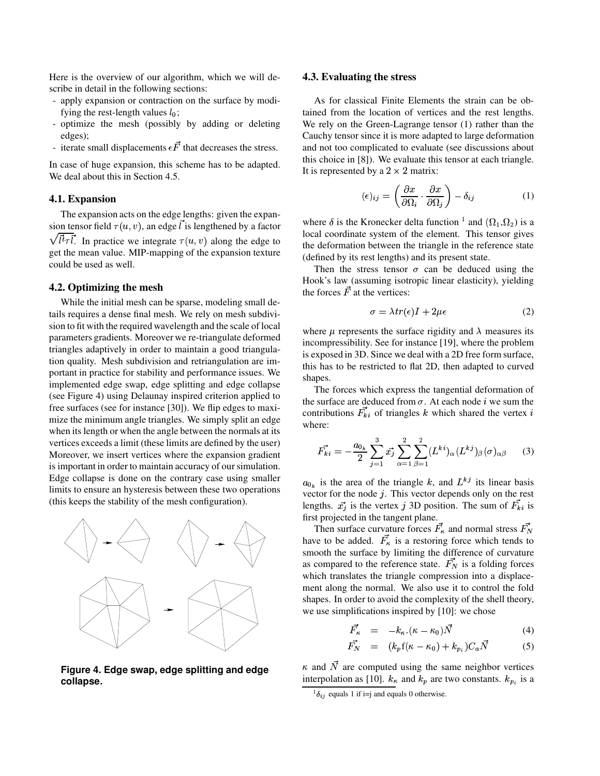Here is the overview of our algorithm, which we will describe in detail in the following sections:

- apply expansion or contraction on the surface by modifying the rest-length values  $l_0$ ;
- optimize the mesh (possibly by adding or deleting edges);
- iterate small displacements  $\epsilon F$  that decreases the stress.

In case of huge expansion, this scheme has to be adapted. We deal about this in Section 4.5.

#### **4.1. Expansion**

The expansion acts on the edge lengths: given the expansion tensor field  $\tau(u, v)$ , an edge l is lengthened by a factor  $\sqrt{\overrightarrow{t}\overrightarrow{t}}\overrightarrow{l}$ . In practice we integrate  $\tau(u, v)$  along the edge to get the mean value. MIP-mapping of the expansion texture could be used as well.

#### **4.2. Optimizing the mesh**

While the initial mesh can be sparse, modeling small details requires a dense final mesh. We rely on mesh subdivision to fit with the required wavelength and the scale of local parameters gradients. Moreover we re-triangulate deformed triangles adaptively in order to maintain a good triangulation quality. Mesh subdivision and retriangulation are important in practice for stability and performance issues. We implemented edge swap, edge splitting and edge collapse (see Figure 4) using Delaunay inspired criterion applied to free surfaces (see for instance [30]). We flip edges to maximize the minimum angle triangles. We simply split an edge when its length or when the angle between the normals at its vertices exceeds a limit (these limits are defined by the user) Moreover, we insert vertices where the expansion gradient is important in order to maintain accuracy of our simulation. Edge collapse is done on the contrary case using smaller limits to ensure an hysteresis between these two operations (this keeps the stability of the mesh configuration).



**Figure 4. Edge swap, edge splitting and edge collapse.**

#### **4.3. Evaluating the stress**

As for classical Finite Elements the strain can be obtained from the location of vertices and the rest lengths. We rely on the Green-Lagrange tensor (1) rather than the Cauchy tensor since it is more adapted to large deformation and not too complicated to evaluate (see discussions about this choice in [8]). We evaluate this tensor at each triangle. It is represented by a  $2 \times 2$  matrix:

$$
(\epsilon)_{ij} = \left(\frac{\partial x}{\partial \Omega_i} \cdot \frac{\partial x}{\partial \Omega_j}\right) - \delta_{ij}
$$
 (1)

where  $\delta$  is the Kronecker delta function <sup>1</sup> and  $(\Omega_1, \Omega_2)$  is a local coordinate system of the element. This tensor gives the deformation between the triangle in the reference state (defined by its rest lengths) and its present state.

Then the stress tensor  $\sigma$  can be deduced using the Hook's law (assuming isotropic linear elasticity), yielding the forces  $F$  at the vertices:

$$
\sigma = \lambda tr(\epsilon)I + 2\mu\epsilon \tag{2}
$$

where  $\mu$  represents the surface rigidity and  $\lambda$  measures its incompressibility. See for instance [19], where the problem is exposed in 3D. Since we deal with a 2D free form surface, this has to be restricted to flat 2D, then adapted to curved shapes.

The forces which express the tangential deformation of the surface are deduced from  $\sigma$ . At each node *i* we sum the contributions  $\vec{F}_{ki}$  of triangles k which shared the vertex i where:

$$
\vec{F_{ki}} = -\frac{a_{0_k}}{2} \sum_{j=1}^3 \vec{x_j} \sum_{\alpha=1}^2 \sum_{\beta=1}^2 (L^{ki})_\alpha (L^{kj})_\beta (\sigma)_{\alpha\beta} \qquad (3)
$$

vector for the node  $j$ . This vector depends only on the rest  $_{0_k}$  is the area of the triangle k, and  $L^{kj}$  its linear basis lengths.  $\vec{x_j}$  is the vertex j 3D position. The sum of  $F_{ki}$  is first projected in the tangent plane.

Then surface curvature forces  $\vec{F}_k$  and normal stress  $\vec{F}_N$ have to be added.  $\vec{F}_\kappa$  is a restoring force which tends to smooth the surface by limiting the difference of curvature as compared to the reference state.  $\vec{F_N}$  is a folding forces which translates the triangle compression into a displacement along the normal. We also use it to control the fold shapes. In order to avoid the complexity of the shell theory, we use simplifications inspired by [10]: we chose

$$
\vec{F}_{\kappa} = -k_{\kappa} \cdot (\kappa - \kappa_0) \vec{N} \tag{4}
$$

$$
\vec{F}_N = (k_p \mathbf{f}(\kappa - \kappa_0) + k_{p_i}) C_a \vec{N} \tag{5}
$$

 $\kappa$  and N are computed using the same neighbor vertices interpolation as [10].  $k_{\kappa}$  and  $k_{p}$  are two constants.  $k_{p_i}$  is a

 ${}^{1} \delta_{ij}$  equals 1 if i=j and equals 0 otherwise.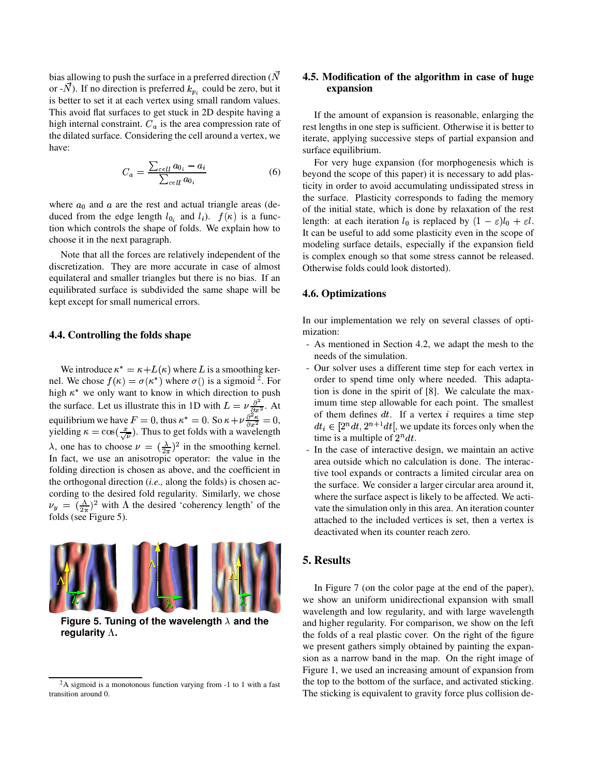bias allowing to push the surface in a preferred direction ( $\vec{N}$ ) or  $-N$ ). If no direction is preferred  $k_{p_i}$  could be zero, but it is better to set it at each vertex using small random values. This avoid flat surfaces to get stuck in 2D despite having a high internal constraint.  $C_a$  is the area compression rate of the dilated surface. Considering the cell around a vertex, we have:

$$
C_a = \frac{\sum_{cell} a_{0_i} - a_i}{\sum_{cell} a_{0_i}} \tag{6}
$$

where  $a_0$  and  $a$  are the rest and actual triangle areas (deduced from the edge length  $l_{0_i}$  and  $l_i$ ).  $f(\kappa)$  is a function which controls the shape of folds. We explain how to choose it in the next paragraph.

Note that all the forces are relatively independent of the discretization. They are more accurate in case of almost equilateral and smaller triangles but there is no bias. If an equilibrated surface is subdivided the same shape will be kept except for small numerical errors.

#### **4.4. Controlling the folds shape**

We introduce  $\kappa^* = \kappa + L(\kappa)$  where L is a smoothing kernel. We chose  $f(\kappa) = \sigma(\kappa^*)$  where  $\sigma()$  is a sigmoid <sup>2</sup>. For high  $\kappa^*$  we only want to know in which direction to push the surface. Let us illustrate this in 1D with  $L = \nu \frac{\partial^2}{\partial x^2}$ . At equilibrium we have  $F = 0$ , thus  $\kappa^* = 0$ . So  $\kappa + \nu \frac{\partial^2 \kappa}{\partial x^2} = 0$ , yielding  $\kappa = \cos(\frac{x}{\sqrt{n}})$ . Thus to get folds with a wavelength  $\lambda$ , one has to choose  $\nu = (\frac{\lambda}{2\pi})^2$  in the smoothing kernel. In fact, we use an anisotropic operator: the value in the folding direction is chosen as above, and the coefficient in the orthogonal direction (*i.e.,* along the folds) is chosen according to the desired fold regularity. Similarly, we chose  $\nu_y = (\frac{\Lambda}{2\pi})^2$  with  $\Lambda$  the desired 'coherency length' of the folds (see Figure 5).



**Figure** 5. Tuning of the wavelength  $\lambda$  and the **regularity .**

#### **4.5. Modification of the algorithm in case of huge expansion**

If the amount of expansion is reasonable, enlarging the rest lengths in one step is sufficient. Otherwise it is better to iterate, applying successive steps of partial expansion and surface equilibrium.

For very huge expansion (for morphogenesis which is beyond the scope of this paper) it is necessary to add plasticity in order to avoid accumulating undissipated stress in the surface. Plasticity corresponds to fading the memory of the initial state, which is done by relaxation of the rest length: at each iteration  $l_0$  is replaced by  $(1 - \varepsilon)l_0 + \varepsilon l$ .  $\frac{1}{2}$  of  $\frac{1}{2}$  of  $\frac{1}{2}$  of  $\frac{1}{2}$  of  $\frac{1}{2}$  of  $\frac{1}{2}$  of  $\frac{1}{2}$  of  $\frac{1}{2}$  of  $\frac{1}{2}$  of  $\frac{1}{2}$  of  $\frac{1}{2}$  of  $\frac{1}{2}$  of  $\frac{1}{2}$  of  $\frac{1}{2}$  of  $\frac{1}{2}$  of  $\frac{1}{2}$  of  $\frac{1}{2}$  of modeling surface details, especially if the expansion field is complex enough so that some stress cannot be released. Otherwise folds could look distorted).

#### **4.6. Optimizations**

In our implementation we rely on several classes of optimization:

- As mentioned in Section 4.2, we adapt the mesh to the needs of the simulation.
- Our solver uses a different time step for each vertex in order to spend time only where needed. This adaptation is done in the spirit of [8]. We calculate the maximum time step allowable for each point. The smallest of them defines  $dt$ . If a vertex i requires a time step  $dt_i \in [2^n dt, 2^{n+1} dt]$ , we update its forces only when the time is a multiple of  $2<sup>n</sup> dt$ .
- In the case of interactive design, we maintain an active area outside which no calculation is done. The interactive tool expands or contracts a limited circular area on the surface. We consider a larger circular area around it, where the surface aspect is likely to be affected. We activate the simulation only in this area. An iteration counter attached to the included vertices is set, then a vertex is deactivated when its counter reach zero.

#### **5. Results**

In Figure 7 (on the color page at the end of the paper), we show an uniform unidirectional expansion with small wavelength and low regularity, and with large wavelength and higher regularity. For comparison, we show on the left the folds of a real plastic cover. On the right of the figure we present gathers simply obtained by painting the expansion as a narrow band in the map. On the right image of Figure 1, we used an increasing amount of expansion from the top to the bottom of the surface, and activated sticking. The sticking is equivalent to gravity force plus collision de-

 $2A$  sigmoid is a monotonous function varying from -1 to 1 with a fast transition around 0.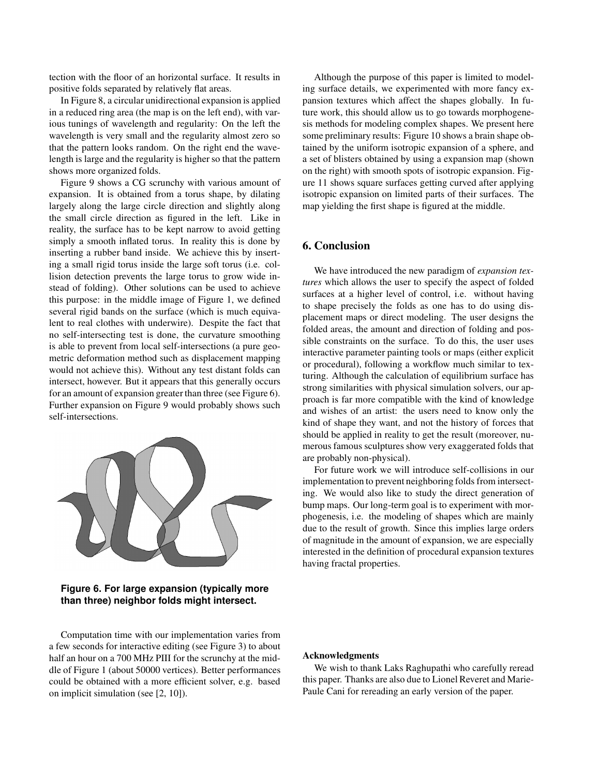tection with the floor of an horizontal surface. It results in positive folds separated by relatively flat areas.

In Figure 8, a circular unidirectional expansion is applied in a reduced ring area (the map is on the left end), with various tunings of wavelength and regularity: On the left the wavelength is very small and the regularity almost zero so that the pattern looks random. On the right end the wavelength is large and the regularity is higher so that the pattern shows more organized folds.

Figure 9 shows a CG scrunchy with various amount of expansion. It is obtained from a torus shape, by dilating largely along the large circle direction and slightly along the small circle direction as figured in the left. Like in reality, the surface has to be kept narrow to avoid getting simply a smooth inflated torus. In reality this is done by inserting a rubber band inside. We achieve this by inserting a small rigid torus inside the large soft torus (i.e. collision detection prevents the large torus to grow wide instead of folding). Other solutions can be used to achieve this purpose: in the middle image of Figure 1, we defined several rigid bands on the surface (which is much equivalent to real clothes with underwire). Despite the fact that no self-intersecting test is done, the curvature smoothing is able to prevent from local self-intersections (a pure geometric deformation method such as displacement mapping would not achieve this). Without any test distant folds can intersect, however. But it appears that this generally occurs for an amount of expansion greater than three (see Figure 6). Further expansion on Figure 9 would probably shows such self-intersections.



**Figure 6. For large expansion (typically more than three) neighbor folds might intersect.**

Computation time with our implementation varies from a few seconds for interactive editing (see Figure 3) to about half an hour on a 700 MHz PIII for the scrunchy at the middle of Figure 1 (about 50000 vertices). Better performances could be obtained with a more efficient solver, e.g. based on implicit simulation (see [2, 10]).

Although the purpose of this paper is limited to modeling surface details, we experimented with more fancy expansion textures which affect the shapes globally. In future work, this should allow us to go towards morphogenesis methods for modeling complex shapes. We present here some preliminary results: Figure 10 shows a brain shape obtained by the uniform isotropic expansion of a sphere, and a set of blisters obtained by using a expansion map (shown on the right) with smooth spots of isotropic expansion. Figure 11 shows square surfaces getting curved after applying isotropic expansion on limited parts of their surfaces. The map yielding the first shape is figured at the middle.

#### **6. Conclusion**

We have introduced the new paradigm of *expansion textures* which allows the user to specify the aspect of folded surfaces at a higher level of control, i.e. without having to shape precisely the folds as one has to do using displacement maps or direct modeling. The user designs the folded areas, the amount and direction of folding and possible constraints on the surface. To do this, the user uses interactive parameter painting tools or maps (either explicit or procedural), following a workflow much similar to texturing. Although the calculation of equilibrium surface has strong similarities with physical simulation solvers, our approach is far more compatible with the kind of knowledge and wishes of an artist: the users need to know only the kind of shape they want, and not the history of forces that should be applied in reality to get the result (moreover, numerous famous sculptures show very exaggerated folds that are probably non-physical).

For future work we will introduce self-collisions in our implementation to prevent neighboring folds from intersecting. We would also like to study the direct generation of bump maps. Our long-term goal is to experiment with morphogenesis, i.e. the modeling of shapes which are mainly due to the result of growth. Since this implies large orders of magnitude in the amount of expansion, we are especially interested in the definition of procedural expansion textures having fractal properties.

#### **Acknowledgments**

We wish to thank Laks Raghupathi who carefully reread this paper. Thanks are also due to Lionel Reveret and Marie-Paule Cani for rereading an early version of the paper.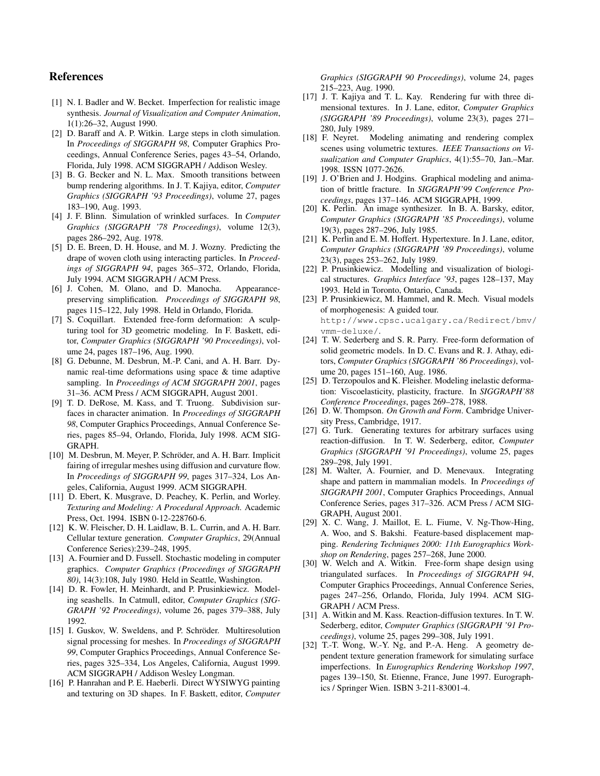#### **References**

- [1] N. I. Badler and W. Becket. Imperfection for realistic image synthesis. *Journal of Visualization and Computer Animation*, 1(1):26–32, August 1990.
- [2] D. Baraff and A. P. Witkin. Large steps in cloth simulation. In *Proceedings of SIGGRAPH 98*, Computer Graphics Proceedings, Annual Conference Series, pages 43–54, Orlando, Florida, July 1998. ACM SIGGRAPH / Addison Wesley.
- [3] B. G. Becker and N. L. Max. Smooth transitions between bump rendering algorithms. In J. T. Kajiya, editor, *Computer Graphics (SIGGRAPH '93 Proceedings)*, volume 27, pages 183–190, Aug. 1993.
- [4] J. F. Blinn. Simulation of wrinkled surfaces. In *Computer Graphics (SIGGRAPH '78 Proceedings)*, volume 12(3), pages 286–292, Aug. 1978.
- [5] D. E. Breen, D. H. House, and M. J. Wozny. Predicting the drape of woven cloth using interacting particles. In *Proceedings of SIGGRAPH 94*, pages 365–372, Orlando, Florida, July 1994. ACM SIGGRAPH / ACM Press.
- [6] J. Cohen, M. Olano, and D. Manocha. Appearancepreserving simplification. *Proceedings of SIGGRAPH 98*, pages 115–122, July 1998. Held in Orlando, Florida.
- [7] S. Coquillart. Extended free-form deformation: A sculpturing tool for 3D geometric modeling. In F. Baskett, editor, *Computer Graphics (SIGGRAPH '90 Proceedings)*, volume 24, pages 187–196, Aug. 1990.
- [8] G. Debunne, M. Desbrun, M.-P. Cani, and A. H. Barr. Dynamic real-time deformations using space & time adaptive sampling. In *Proceedings of ACM SIGGRAPH 2001*, pages 31–36. ACM Press / ACM SIGGRAPH, August 2001.
- [9] T. D. DeRose, M. Kass, and T. Truong. Subdivision surfaces in character animation. In *Proceedings of SIGGRAPH 98*, Computer Graphics Proceedings, Annual Conference Series, pages 85–94, Orlando, Florida, July 1998. ACM SIG-GRAPH.
- [10] M. Desbrun, M. Meyer, P. Schröder, and A. H. Barr. Implicit fairing of irregular meshes using diffusion and curvature flow. In *Proceedings of SIGGRAPH 99*, pages 317–324, Los Angeles, California, August 1999. ACM SIGGRAPH.
- [11] D. Ebert, K. Musgrave, D. Peachey, K. Perlin, and Worley. *Texturing and Modeling: A Procedural Approach*. Academic Press, Oct. 1994. ISBN 0-12-228760-6.
- [12] K. W. Fleischer, D. H. Laidlaw, B. L. Currin, and A. H. Barr. Cellular texture generation. *Computer Graphics*, 29(Annual Conference Series):239–248, 1995.
- [13] A. Fournier and D. Fussell. Stochastic modeling in computer graphics. *Computer Graphics (Proceedings of SIGGRAPH 80)*, 14(3):108, July 1980. Held in Seattle, Washington.
- [14] D. R. Fowler, H. Meinhardt, and P. Prusinkiewicz. Modeling seashells. In Catmull, editor, *Computer Graphics (SIG-GRAPH '92 Proceedings)*, volume 26, pages 379–388, July 1992.
- [15] I. Guskov, W. Sweldens, and P. Schröder. Multiresolution signal processing for meshes. In *Proceedings of SIGGRAPH 99*, Computer Graphics Proceedings, Annual Conference Series, pages 325–334, Los Angeles, California, August 1999. ACM SIGGRAPH / Addison Wesley Longman.
- [16] P. Hanrahan and P. E. Haeberli. Direct WYSIWYG painting and texturing on 3D shapes. In F. Baskett, editor, *Computer*

*Graphics (SIGGRAPH 90 Proceedings)*, volume 24, pages 215–223, Aug. 1990.

- [17] J. T. Kajiya and T. L. Kay. Rendering fur with three dimensional textures. In J. Lane, editor, *Computer Graphics (SIGGRAPH '89 Proceedings)*, volume 23(3), pages 271– 280, July 1989.
- [18] F. Neyret. Modeling animating and rendering complex scenes using volumetric textures. *IEEE Transactions on Visualization and Computer Graphics*, 4(1):55–70, Jan.–Mar. 1998. ISSN 1077-2626.
- [19] J. O'Brien and J. Hodgins. Graphical modeling and animation of brittle fracture. In *SIGGRAPH'99 Conference Proceedings*, pages 137–146. ACM SIGGRAPH, 1999.
- [20] K. Perlin. An image synthesizer. In B. A. Barsky, editor, *Computer Graphics (SIGGRAPH '85 Proceedings)*, volume 19(3), pages 287–296, July 1985.
- [21] K. Perlin and E. M. Hoffert. Hypertexture. In J. Lane, editor, *Computer Graphics (SIGGRAPH '89 Proceedings)*, volume 23(3), pages 253–262, July 1989.
- [22] P. Prusinkiewicz. Modelling and visualization of biological structures. *Graphics Interface '93*, pages 128–137, May 1993. Held in Toronto, Ontario, Canada.
- [23] P. Prusinkiewicz, M. Hammel, and R. Mech. Visual models of morphogenesis: A guided tour. http://www.cpsc.ucalgary.ca/Redirect/bmv/ vmm-deluxe/.
- [24] T. W. Sederberg and S. R. Parry. Free-form deformation of solid geometric models. In D. C. Evans and R. J. Athay, editors, *Computer Graphics (SIGGRAPH '86 Proceedings)*, volume 20, pages 151–160, Aug. 1986.
- [25] D. Terzopoulos and K. Fleisher. Modeling inelastic deformation: Viscoelasticity, plasticity, fracture. In *SIGGRAPH'88 Conference Proceedings*, pages 269–278, 1988.
- [26] D. W. Thompson. *On Growth and Form*. Cambridge University Press, Cambridge, 1917.
- [27] G. Turk. Generating textures for arbitrary surfaces using reaction-diffusion. In T. W. Sederberg, editor, *Computer Graphics (SIGGRAPH '91 Proceedings)*, volume 25, pages 289–298, July 1991.
- [28] M. Walter, A. Fournier, and D. Menevaux. Integrating shape and pattern in mammalian models. In *Proceedings of SIGGRAPH 2001*, Computer Graphics Proceedings, Annual Conference Series, pages 317–326. ACM Press / ACM SIG-GRAPH, August 2001.
- [29] X. C. Wang, J. Maillot, E. L. Fiume, V. Ng-Thow-Hing, A. Woo, and S. Bakshi. Feature-based displacement mapping. *Rendering Techniques 2000: 11th Eurographics Workshop on Rendering*, pages 257–268, June 2000.
- [30] W. Welch and A. Witkin. Free-form shape design using triangulated surfaces. In *Proceedings of SIGGRAPH 94*, Computer Graphics Proceedings, Annual Conference Series, pages 247–256, Orlando, Florida, July 1994. ACM SIG-GRAPH / ACM Press.
- [31] A. Witkin and M. Kass. Reaction-diffusion textures. In T. W. Sederberg, editor, *Computer Graphics (SIGGRAPH '91 Proceedings)*, volume 25, pages 299–308, July 1991.
- [32] T.-T. Wong, W.-Y. Ng, and P.-A. Heng. A geometry dependent texture generation framework for simulating surface imperfections. In *Eurographics Rendering Workshop 1997*, pages 139–150, St. Etienne, France, June 1997. Eurographics / Springer Wien. ISBN 3-211-83001-4.